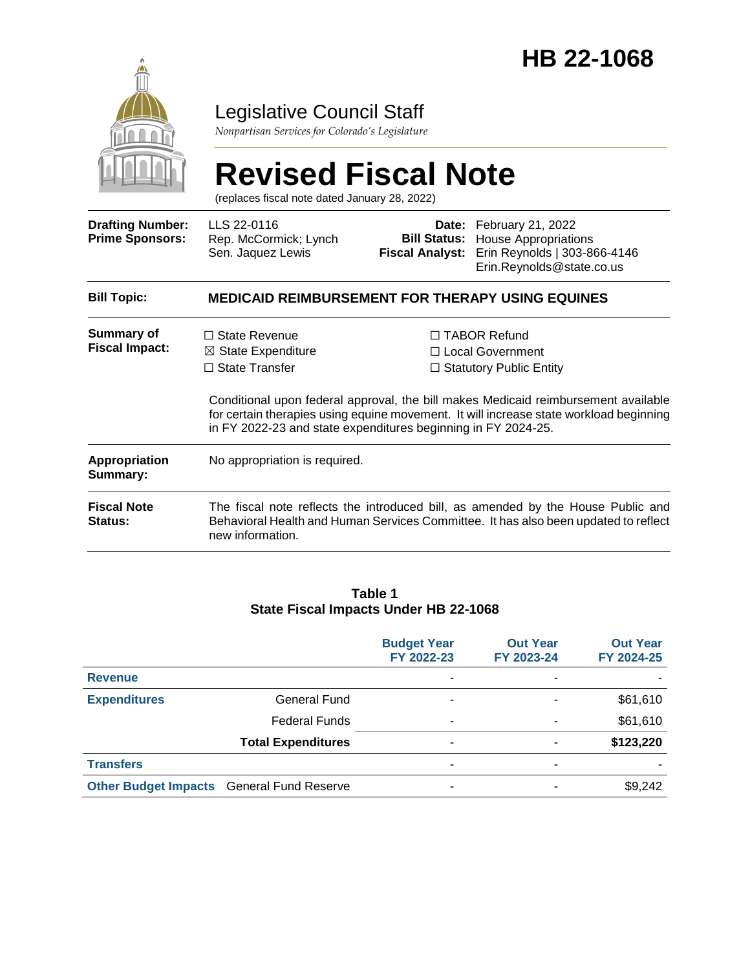

### Legislative Council Staff

*Nonpartisan Services for Colorado's Legislature*

# **Revised Fiscal Note**

(replaces fiscal note dated January 28, 2022)

| <b>Drafting Number:</b><br><b>Prime Sponsors:</b> | LLS 22-0116<br>Rep. McCormick; Lynch<br>Sen. Jaquez Lewis                                                                                                                                                                                     | <b>Fiscal Analyst:</b>                                                           | Date: February 21, 2022<br><b>Bill Status:</b> House Appropriations<br>Erin Reynolds   303-866-4146<br>Erin.Reynolds@state.co.us |  |  |
|---------------------------------------------------|-----------------------------------------------------------------------------------------------------------------------------------------------------------------------------------------------------------------------------------------------|----------------------------------------------------------------------------------|----------------------------------------------------------------------------------------------------------------------------------|--|--|
| <b>Bill Topic:</b>                                | <b>MEDICAID REIMBURSEMENT FOR THERAPY USING EQUINES</b>                                                                                                                                                                                       |                                                                                  |                                                                                                                                  |  |  |
| <b>Summary of</b><br><b>Fiscal Impact:</b>        | $\Box$ State Revenue<br>$\boxtimes$ State Expenditure<br>$\Box$ State Transfer                                                                                                                                                                | $\Box$ TABOR Refund<br>$\Box$ Local Government<br>$\Box$ Statutory Public Entity |                                                                                                                                  |  |  |
|                                                   | Conditional upon federal approval, the bill makes Medicaid reimbursement available<br>for certain therapies using equine movement. It will increase state workload beginning<br>in FY 2022-23 and state expenditures beginning in FY 2024-25. |                                                                                  |                                                                                                                                  |  |  |
| <b>Appropriation</b><br>Summary:                  | No appropriation is required.                                                                                                                                                                                                                 |                                                                                  |                                                                                                                                  |  |  |
| <b>Fiscal Note</b><br><b>Status:</b>              | The fiscal note reflects the introduced bill, as amended by the House Public and<br>Behavioral Health and Human Services Committee. It has also been updated to reflect<br>new information.                                                   |                                                                                  |                                                                                                                                  |  |  |
|                                                   |                                                                                                                                                                                                                                               |                                                                                  |                                                                                                                                  |  |  |

#### **Table 1 State Fiscal Impacts Under HB 22-1068**

|                                                  |                           | <b>Budget Year</b><br>FY 2022-23 | <b>Out Year</b><br>FY 2023-24 | <b>Out Year</b><br>FY 2024-25 |
|--------------------------------------------------|---------------------------|----------------------------------|-------------------------------|-------------------------------|
| <b>Revenue</b>                                   |                           |                                  | ٠                             |                               |
| <b>Expenditures</b>                              | <b>General Fund</b>       |                                  | ٠                             | \$61,610                      |
|                                                  | <b>Federal Funds</b>      | -                                | ٠                             | \$61,610                      |
|                                                  | <b>Total Expenditures</b> |                                  | ٠                             | \$123,220                     |
| <b>Transfers</b>                                 |                           | ۰                                | ٠                             |                               |
| <b>Other Budget Impacts General Fund Reserve</b> |                           |                                  |                               | \$9,242                       |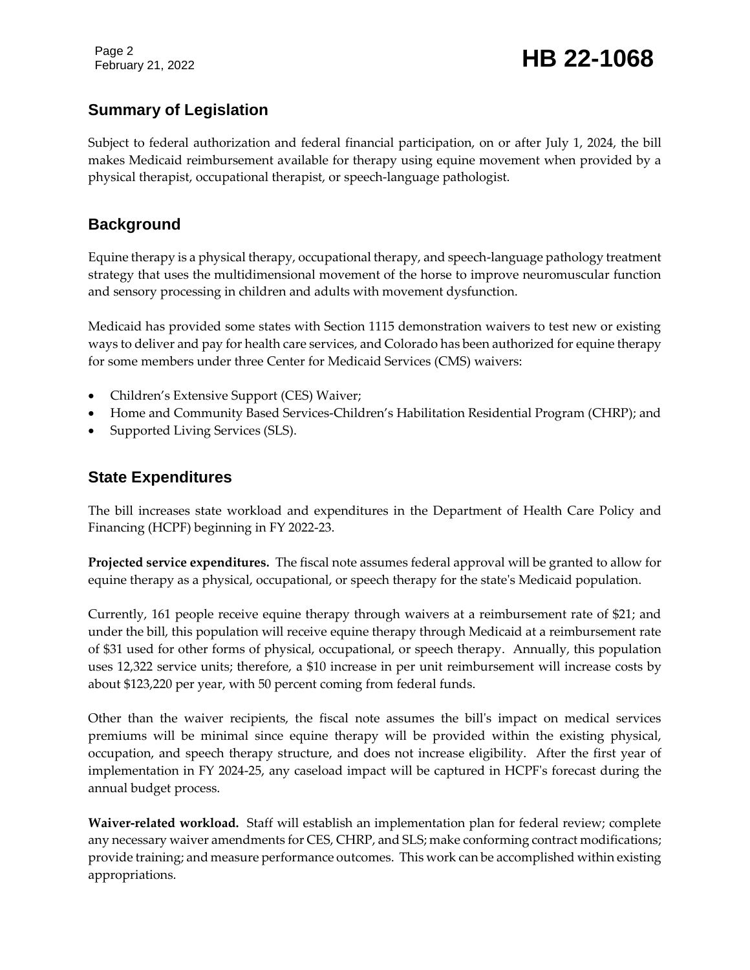Page 2

## February 21, 2022 **HB 22-1068**

#### **Summary of Legislation**

Subject to federal authorization and federal financial participation, on or after July 1, 2024, the bill makes Medicaid reimbursement available for therapy using equine movement when provided by a physical therapist, occupational therapist, or speech-language pathologist.

#### **Background**

Equine therapy is a physical therapy, occupational therapy, and speech-language pathology treatment strategy that uses the multidimensional movement of the horse to improve neuromuscular function and sensory processing in children and adults with movement dysfunction.

Medicaid has provided some states with Section 1115 demonstration waivers to test new or existing ways to deliver and pay for health care services, and Colorado has been authorized for equine therapy for some members under three Center for Medicaid Services (CMS) waivers:

- Children's Extensive Support (CES) Waiver;
- Home and Community Based Services-Children's Habilitation Residential Program (CHRP); and
- Supported Living Services (SLS).

#### **State Expenditures**

The bill increases state workload and expenditures in the Department of Health Care Policy and Financing (HCPF) beginning in FY 2022-23.

**Projected service expenditures.** The fiscal note assumes federal approval will be granted to allow for equine therapy as a physical, occupational, or speech therapy for the state's Medicaid population.

Currently, 161 people receive equine therapy through waivers at a reimbursement rate of \$21; and under the bill, this population will receive equine therapy through Medicaid at a reimbursement rate of \$31 used for other forms of physical, occupational, or speech therapy. Annually, this population uses 12,322 service units; therefore, a \$10 increase in per unit reimbursement will increase costs by about \$123,220 per year, with 50 percent coming from federal funds.

Other than the waiver recipients, the fiscal note assumes the bill's impact on medical services premiums will be minimal since equine therapy will be provided within the existing physical, occupation, and speech therapy structure, and does not increase eligibility. After the first year of implementation in FY 2024-25, any caseload impact will be captured in HCPF's forecast during the annual budget process.

**Waiver-related workload.** Staff will establish an implementation plan for federal review; complete any necessary waiver amendments for CES, CHRP, and SLS; make conforming contract modifications; provide training; and measure performance outcomes. This work can be accomplished within existing appropriations.